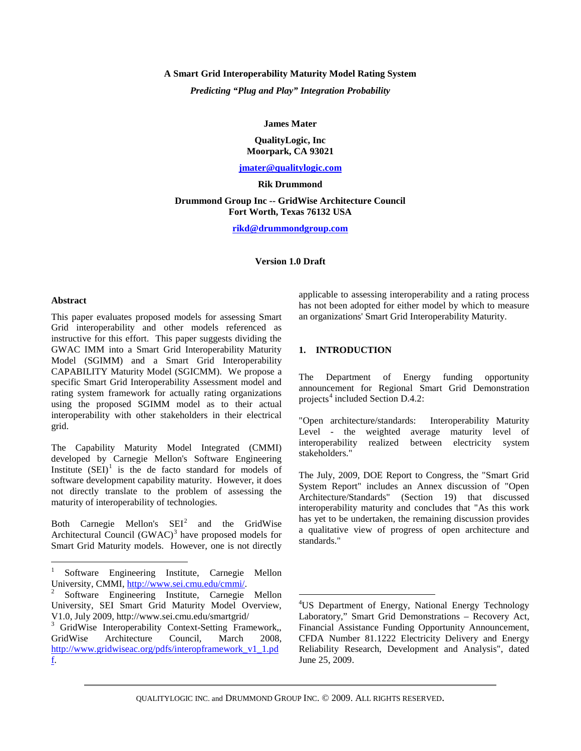# **A Smart Grid Interoperability Maturity Model Rating System**

*Predicting "Plug and Play" Integration Probability*

**James Mater**

## **QualityLogic, Inc Moorpark, CA 93021**

#### **[jmater@qualitylogic.com](mailto:jmater@qualitylogic.com)**

#### **Rik Drummond**

#### **Drummond Group Inc -- GridWise Architecture Council Fort Worth, Texas 76132 USA**

**[rikd@drummondgroup.com](mailto:rikd@drummondgroup.com)**

#### **Version 1.0 Draft**

#### **Abstract**

This paper evaluates proposed models for assessing Smart Grid interoperability and other models referenced as instructive for this effort. This paper suggests dividing the GWAC IMM into a Smart Grid Interoperability Maturity Model (SGIMM) and a Smart Grid Interoperability CAPABILITY Maturity Model (SGICMM). We propose a specific Smart Grid Interoperability Assessment model and rating system framework for actually rating organizations using the proposed SGIMM model as to their actual interoperability with other stakeholders in their electrical grid.

The Capability Maturity Model Integrated (CMMI) developed by Carnegie Mellon's Software Engineering Institute  $(SEI)^1$  $(SEI)^1$  is the de facto standard for models of software development capability maturity. However, it does not directly translate to the problem of assessing the maturity of interoperability of technologies.

Both Carnegie Mellon's  $SEI<sup>2</sup>$  $SEI<sup>2</sup>$  $SEI<sup>2</sup>$  and the GridWise Architectural Council (GWAC)<sup>[3](#page-0-2)</sup> have proposed models for Smart Grid Maturity models. However, one is not directly

applicable to assessing interoperability and a rating process has not been adopted for either model by which to measure an organizations' Smart Grid Interoperability Maturity.

# **1. INTRODUCTION**

The Department of Energy funding opportunity announcement for Regional Smart Grid Demonstration projects<sup>[4](#page-0-3)</sup> included Section D.4.2:

"Open architecture/standards: Interoperability Maturity Level - the weighted average maturity level of interoperability realized between electricity system stakeholders."

The July, 2009, DOE Report to Congress, the "Smart Grid System Report" includes an Annex discussion of "Open Architecture/Standards" (Section 19) that discussed interoperability maturity and concludes that "As this work has yet to be undertaken, the remaining discussion provides a qualitative view of progress of open architecture and standards."

<span id="page-0-0"></span><sup>&</sup>lt;sup>1</sup> Software Engineering Institute, Carnegie Mellon University, CMMI, http://www.sei.cmu.edu/cmmi/.

<span id="page-0-3"></span><span id="page-0-1"></span>Software Engineering Institute, Carnegie Mellon University, SEI Smart Grid Maturity Model Overview, V1.0, July 2009, http://www.sei.cmu.edu/smartgrid/

<span id="page-0-2"></span><sup>&</sup>lt;sup>3</sup> GridWise Interoperability Context-Setting Framework, GridWise Architecture Council, March 2008, [http://www.gridwiseac.org/pdfs/interopframework\\_v1\\_1.pd](http://www.gridwiseac.org/pdfs/interopframework_v1_1.pdf) [f.](http://www.gridwiseac.org/pdfs/interopframework_v1_1.pdf) 

 $\frac{1}{4}$ US Department of Energy, National Energy Technology Laboratory," Smart Grid Demonstrations – Recovery Act, Financial Assistance Funding Opportunity Announcement, CFDA Number 81.1222 Electricity Delivery and Energy Reliability Research, Development and Analysis", dated June 25, 2009.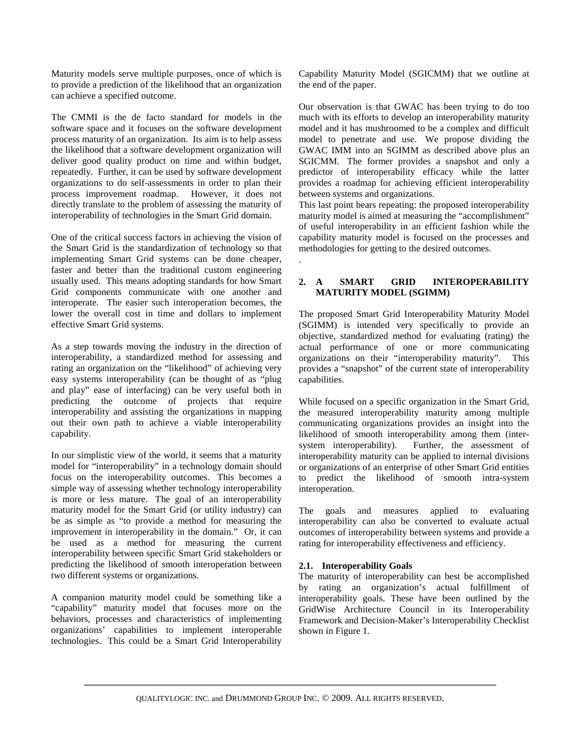Maturity models serve multiple purposes, once of which is to provide a prediction of the likelihood that an organization can achieve a specified outcome.

The CMMI is the de facto standard for models in the software space and it focuses on the software development process maturity of an organization. Its aim is to help assess the likelihood that a software development organization will deliver good quality product on time and within budget, repeatedly. Further, it can be used by software development organizations to do self-assessments in order to plan their process improvement roadmap. However, it does not directly translate to the problem of assessing the maturity of interoperability of technologies in the Smart Grid domain.

One of the critical success factors in achieving the vision of the Smart Grid is the standardization of technology so that implementing Smart Grid systems can be done cheaper, faster and better than the traditional custom engineering usually used. This means adopting standards for how Smart Grid components communicate with one another and interoperate. The easier such interoperation becomes, the lower the overall cost in time and dollars to implement effective Smart Grid systems.

As a step towards moving the industry in the direction of interoperability, a standardized method for assessing and rating an organization on the "likelihood" of achieving very easy systems interoperability (can be thought of as "plug and play" ease of interfacing) can be very useful both in predicting the outcome of projects that require interoperability and assisting the organizations in mapping out their own path to achieve a viable interoperability capability.

In our simplistic view of the world, it seems that a maturity model for "interoperability" in a technology domain should focus on the interoperability outcomes. This becomes a simple way of assessing whether technology interoperability is more or less mature. The goal of an interoperability maturity model for the Smart Grid (or utility industry) can be as simple as "to provide a method for measuring the improvement in interoperability in the domain." Or, it can be used as a method for measuring the current interoperability between specific Smart Grid stakeholders or predicting the likelihood of smooth interoperation between two different systems or organizations.

A companion maturity model could be something like a "capability" maturity model that focuses more on the behaviors, processes and characteristics of implementing organizations' capabilities to implement interoperable technologies. This could be a Smart Grid Interoperability

Capability Maturity Model (SGICMM) that we outline at the end of the paper.

Our observation is that GWAC has been trying to do too much with its efforts to develop an interoperability maturity model and it has mushroomed to be a complex and difficult model to penetrate and use. We propose dividing the GWAC IMM into an SGIMM as described above plus an SGICMM. The former provides a snapshot and only a predictor of interoperability efficacy while the latter provides a roadmap for achieving efficient interoperability between systems and organizations.

This last point bears repeating: the proposed interoperability maturity model is aimed at measuring the "accomplishment" of useful interoperability in an efficient fashion while the capability maturity model is focused on the processes and methodologies for getting to the desired outcomes.

# **2. A SMART GRID INTEROPERABILITY MATURITY MODEL (SGIMM)**

The proposed Smart Grid Interoperability Maturity Model (SGIMM) is intended very specifically to provide an objective, standardized method for evaluating (rating) the actual performance of one or more communicating organizations on their "interoperability maturity". This provides a "snapshot" of the current state of interoperability capabilities.

While focused on a specific organization in the Smart Grid, the measured interoperability maturity among multiple communicating organizations provides an insight into the likelihood of smooth interoperability among them (intersystem interoperability). Further, the assessment of interoperability maturity can be applied to internal divisions or organizations of an enterprise of other Smart Grid entities to predict the likelihood of smooth intra-system interoperation.

The goals and measures applied to evaluating interoperability can also be converted to evaluate actual outcomes of interoperability between systems and provide a rating for interoperability effectiveness and efficiency.

# **2.1. Interoperability Goals**

The maturity of interoperability can best be accomplished by rating an organization's actual fulfillment of interoperability goals. These have been outlined by the GridWise Architecture Council in its Interoperability Framework and Decision-Maker's Interoperability Checklist shown in Figure 1.

.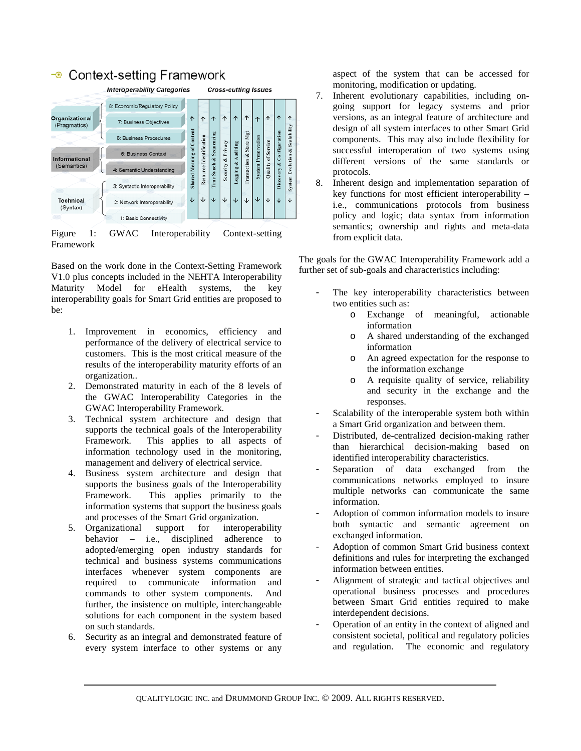# $\bullet$  Context-setting Framework



Figure 1: GWAC Interoperability Context-setting Framework

Based on the work done in the Context-Setting Framework V1.0 plus concepts included in the NEHTA Interoperability Maturity Model for eHealth systems, the key interoperability goals for Smart Grid entities are proposed to be:

- 1. Improvement in economics, efficiency and performance of the delivery of electrical service to customers. This is the most critical measure of the results of the interoperability maturity efforts of an organization..
- 2. Demonstrated maturity in each of the 8 levels of the GWAC Interoperability Categories in the GWAC Interoperability Framework.
- 3. Technical system architecture and design that supports the technical goals of the Interoperability Framework. This applies to all aspects of information technology used in the monitoring, management and delivery of electrical service.
- 4. Business system architecture and design that supports the business goals of the Interoperability Framework. This applies primarily to the information systems that support the business goals and processes of the Smart Grid organization.
- 5. Organizational support for interoperability behavior – i.e., disciplined adherence to adopted/emerging open industry standards for technical and business systems communications interfaces whenever system components are required to communicate information and commands to other system components. And further, the insistence on multiple, interchangeable solutions for each component in the system based on such standards.
- 6. Security as an integral and demonstrated feature of every system interface to other systems or any

aspect of the system that can be accessed for monitoring, modification or updating.

- 7. Inherent evolutionary capabilities, including ongoing support for legacy systems and prior versions, as an integral feature of architecture and design of all system interfaces to other Smart Grid components. This may also include flexibility for successful interoperation of two systems using different versions of the same standards or protocols.
- 8. Inherent design and implementation separation of key functions for most efficient interoperability – i.e., communications protocols from business policy and logic; data syntax from information semantics; ownership and rights and meta-data from explicit data.

The goals for the GWAC Interoperability Framework add a further set of sub-goals and characteristics including:

- The key interoperability characteristics between two entities such as:
	- o Exchange of meaningful, actionable information
	- o A shared understanding of the exchanged information
	- o An agreed expectation for the response to the information exchange
	- o A requisite quality of service, reliability and security in the exchange and the responses.
- Scalability of the interoperable system both within a Smart Grid organization and between them.
- Distributed, de-centralized decision-making rather than hierarchical decision-making based on identified interoperability characteristics.
- Separation of data exchanged from the communications networks employed to insure multiple networks can communicate the same information.
- Adoption of common information models to insure both syntactic and semantic agreement on exchanged information.
- Adoption of common Smart Grid business context definitions and rules for interpreting the exchanged information between entities.
- Alignment of strategic and tactical objectives and operational business processes and procedures between Smart Grid entities required to make interdependent decisions.
- Operation of an entity in the context of aligned and consistent societal, political and regulatory policies and regulation. The economic and regulatory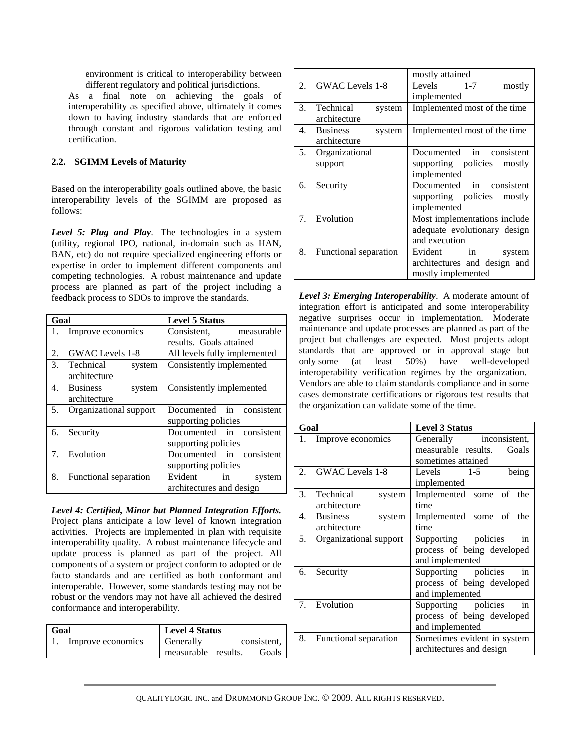environment is critical to interoperability between different regulatory and political jurisdictions.

As a final note on achieving the goals of interoperability as specified above, ultimately it comes down to having industry standards that are enforced through constant and rigorous validation testing and certification.

# **2.2. SGIMM Levels of Maturity**

Based on the interoperability goals outlined above, the basic interoperability levels of the SGIMM are proposed as follows:

*Level 5: Plug and Play*. The technologies in a system (utility, regional IPO, national, in-domain such as HAN, BAN, etc) do not require specialized engineering efforts or expertise in order to implement different components and competing technologies. A robust maintenance and update process are planned as part of the project including a feedback process to SDOs to improve the standards.

| Goal |                           | <b>Level 5 Status</b>        |  |
|------|---------------------------|------------------------------|--|
| 1.   | Improve economics         | measurable<br>Consistent,    |  |
|      |                           | results. Goals attained      |  |
| 2.   | GWAC Levels 1-8           | All levels fully implemented |  |
| 3.   | Technical<br>system       | Consistently implemented     |  |
|      | architecture              |                              |  |
| 4.   | <b>Business</b><br>system | Consistently implemented     |  |
|      | architecture              |                              |  |
| 5.   | Organizational support    | Documented in consistent     |  |
|      |                           | supporting policies          |  |
| 6.   | Security                  | Documented in consistent     |  |
|      |                           | supporting policies          |  |
| 7.   | Evolution                 | Documented in consistent     |  |
|      |                           | supporting policies          |  |
| 8.   | Functional separation     | Evident<br>in<br>system      |  |
|      |                           | architectures and design     |  |

*Level 4: Certified, Minor but Planned Integration Efforts.* Project plans anticipate a low level of known integration activities. Projects are implemented in plan with requisite interoperability quality. A robust maintenance lifecycle and update process is planned as part of the project. All components of a system or project conform to adopted or de facto standards and are certified as both conformant and interoperable. However, some standards testing may not be robust or the vendors may not have all achieved the desired conformance and interoperability.

| Goal |                   | <b>Level 4 Status</b> |  |             |
|------|-------------------|-----------------------|--|-------------|
|      | Improve economics | Generally             |  | consistent, |
|      |                   | measurable results.   |  | Goals       |

|    |                       | mostly attained              |
|----|-----------------------|------------------------------|
|    | 2. GWAC Levels 1-8    | Levels 1-7<br>mostly         |
|    |                       | implemented                  |
| 3. | Technical<br>system   | Implemented most of the time |
|    | architecture          |                              |
|    | 4. Business<br>system | Implemented most of the time |
|    | architecture          |                              |
| 5. | Organizational        | Documented in consistent     |
|    | support               | supporting policies mostly   |
|    |                       | implemented                  |
| 6. | Security              | Documented in consistent     |
|    |                       | supporting policies mostly   |
|    |                       | implemented                  |
| 7. | Evolution             | Most implementations include |
|    |                       | adequate evolutionary design |
|    |                       | and execution                |
| 8. | Functional separation | Evident in<br>system         |
|    |                       | architectures and design and |
|    |                       | mostly implemented           |

*Level 3: Emerging Interoperability*. A moderate amount of integration effort is anticipated and some interoperability negative surprises occur in implementation. Moderate maintenance and update processes are planned as part of the project but challenges are expected. Most projects adopt standards that are approved or in approval stage but only some (at least 50%) have well-developed interoperability verification regimes by the organization. Vendors are able to claim standards compliance and in some cases demonstrate certifications or rigorous test results that the organization can validate some of the time.

| Goal |                           | <b>Level 3 Status</b>        |  |
|------|---------------------------|------------------------------|--|
| 1.   | Improve economics         | Generally inconsistent,      |  |
|      |                           | measurable results.<br>Goals |  |
|      |                           | sometimes attained           |  |
| 2.   | GWAC Levels 1-8           | Levels 1-5<br>being          |  |
|      |                           | implemented                  |  |
| 3.   | Technical<br>system       | Implemented some of the      |  |
|      | architecture              | time                         |  |
| 4.   | <b>Business</b><br>system | Implemented some of the      |  |
|      | architecture              | time                         |  |
| 5.   | Organizational support    | Supporting policies<br>in    |  |
|      |                           | process of being developed   |  |
|      |                           | and implemented              |  |
| 6.   | Security                  | Supporting policies<br>in    |  |
|      |                           | process of being developed   |  |
|      |                           | and implemented              |  |
|      | 7. Evolution              | Supporting policies<br>in    |  |
|      |                           | process of being developed   |  |
|      |                           | and implemented              |  |
| 8.   | Functional separation     | Sometimes evident in system  |  |
|      |                           | architectures and design     |  |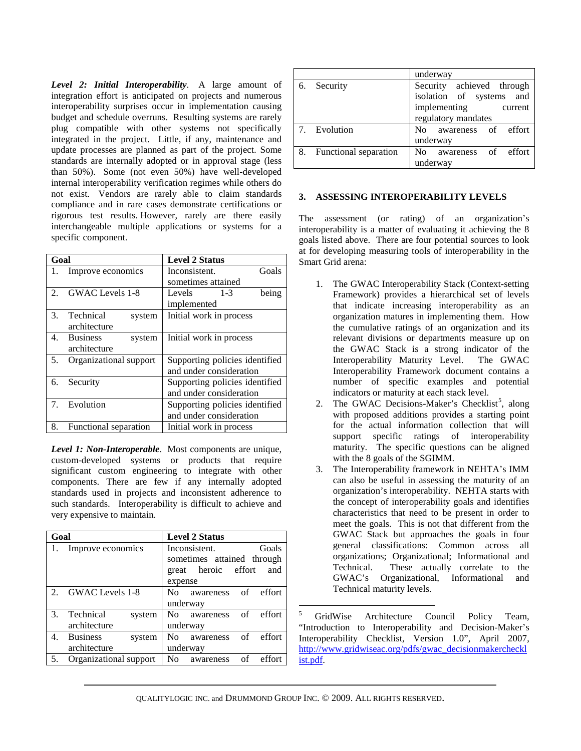*Level 2: Initial Interoperability*. A large amount of integration effort is anticipated on projects and numerous interoperability surprises occur in implementation causing budget and schedule overruns. Resulting systems are rarely plug compatible with other systems not specifically integrated in the project. Little, if any, maintenance and update processes are planned as part of the project. Some standards are internally adopted or in approval stage (less than 50%). Some (not even 50%) have well-developed internal interoperability verification regimes while others do not exist. Vendors are rarely able to claim standards compliance and in rare cases demonstrate certifications or rigorous test results. However, rarely are there easily interchangeable multiple applications or systems for a specific component.

| Goal                        |                           | <b>Level 2 Status</b>          |  |
|-----------------------------|---------------------------|--------------------------------|--|
| 1.                          | Improve economics         | Goals<br>Inconsistent.         |  |
|                             |                           | sometimes attained             |  |
| $\mathcal{D}_{\mathcal{L}}$ | <b>GWAC</b> Levels 1-8    | Levels<br>$1 - 3$<br>being     |  |
|                             |                           | implemented                    |  |
| 3.                          | Technical<br>system       | Initial work in process        |  |
|                             | architecture              |                                |  |
| 4.                          | <b>Business</b><br>system | Initial work in process        |  |
|                             | architecture              |                                |  |
| 5.                          | Organizational support    | Supporting policies identified |  |
|                             |                           | and under consideration        |  |
| 6.                          | Security                  | Supporting policies identified |  |
|                             |                           | and under consideration        |  |
| 7 <sub>1</sub>              | Evolution                 | Supporting policies identified |  |
|                             |                           | and under consideration        |  |
| 8.                          | Functional separation     | Initial work in process        |  |

*Level 1: Non-Interoperable*. Most components are unique, custom-developed systems or products that require significant custom engineering to integrate with other components. There are few if any internally adopted standards used in projects and inconsistent adherence to such standards. Interoperability is difficult to achieve and very expensive to maintain.

<span id="page-4-0"></span>

| Goal           |                           | <b>Level 2 Status</b>                       |  |
|----------------|---------------------------|---------------------------------------------|--|
|                | Improve economics         | Inconsistent.<br>Goals                      |  |
|                |                           | sometimes attained through                  |  |
|                |                           | great heroic effort<br>and                  |  |
|                |                           | expense                                     |  |
| $\mathfrak{D}$ | GWAC Levels 1-8           | effort<br>No.<br>awareness<br>of            |  |
|                |                           | underway                                    |  |
| 3.             | Technical<br>system       | effort<br>No.<br>awareness<br>of            |  |
|                | architecture              | underway                                    |  |
| 4.             | <b>Business</b><br>system | effort<br>N <sub>0</sub><br>of<br>awareness |  |
|                | architecture              | underway                                    |  |
| 5.             | Organizational support    | effort<br>No<br>οf<br>awareness             |  |

|    |                       | underway                  |
|----|-----------------------|---------------------------|
| 6. | Security              | Security achieved through |
|    |                       | isolation of systems and  |
|    |                       | implementing<br>current   |
|    |                       | regulatory mandates       |
|    | 7. Evolution          | No awareness of effort    |
|    |                       | underway                  |
| 8. | Functional separation | awareness of effort<br>No |
|    |                       | underway                  |

# **3. ASSESSING INTEROPERABILITY LEVELS**

The assessment (or rating) of an organization's interoperability is a matter of evaluating it achieving the 8 goals listed above. There are four potential sources to look at for developing measuring tools of interoperability in the Smart Grid arena:

- 1. The GWAC Interoperability Stack (Context-setting Framework) provides a hierarchical set of levels that indicate increasing interoperability as an organization matures in implementing them. How the cumulative ratings of an organization and its relevant divisions or departments measure up on the GWAC Stack is a strong indicator of the Interoperability Maturity Level. The GWAC Interoperability Framework document contains a number of specific examples and potential indicators or maturity at each stack level.
- 2. The GWAC Decisions-Maker's Checklist<sup>[5](#page-4-0)</sup>, along with proposed additions provides a starting point for the actual information collection that will support specific ratings of interoperability maturity. The specific questions can be aligned with the 8 goals of the SGIMM.
- 3. The Interoperability framework in NEHTA's IMM can also be useful in assessing the maturity of an organization's interoperability. NEHTA starts with the concept of interoperability goals and identifies characteristics that need to be present in order to meet the goals. This is not that different from the GWAC Stack but approaches the goals in four general classifications: Common across all organizations; Organizational; Informational and Technical. These actually correlate to the GWAC's Organizational, Informational and Technical maturity levels.

<sup>5</sup> GridWise Architecture Council Policy Team, "Introduction to Interoperability and Decision-Maker's Interoperability Checklist, Version 1.0", April 2007, [http://www.gridwiseac.org/pdfs/gwac\\_decisionmakercheckl](http://www.gridwiseac.org/pdfs/gwac_decisionmakerchecklist.pdf) [ist.pdf.](http://www.gridwiseac.org/pdfs/gwac_decisionmakerchecklist.pdf)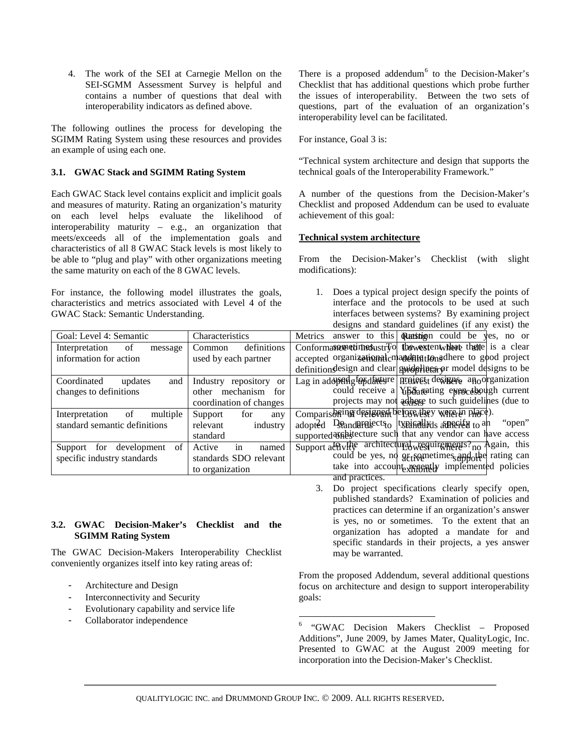4. The work of the SEI at Carnegie Mellon on the SEI-SGMM Assessment Survey is helpful and contains a number of questions that deal with interoperability indicators as defined above.

The following outlines the process for developing the SGIMM Rating System using these resources and provides an example of using each one.

# **3.1. GWAC Stack and SGIMM Rating System**

Each GWAC Stack level contains explicit and implicit goals and measures of maturity. Rating an organization's maturity on each level helps evaluate the likelihood of interoperability maturity – e.g., an organization that meets/exceeds all of the implementation goals and characteristics of all 8 GWAC Stack levels is most likely to be able to "plug and play" with other organizations meeting the same maturity on each of the 8 GWAC levels.

For instance, the following model illustrates the goals, characteristics and metrics associated with Level 4 of the GWAC Stack: Semantic Understanding.

There is a proposed addendum<sup>[6](#page-5-0)</sup> to the Decision-Maker's Checklist that has additional questions which probe further the issues of interoperability. Between the two sets of questions, part of the evaluation of an organization's interoperability level can be facilitated.

For instance, Goal 3 is:

"Technical system architecture and design that supports the technical goals of the Interoperability Framework."

A number of the questions from the Decision-Maker's Checklist and proposed Addendum can be used to evaluate achievement of this goal:

# **Technical system architecture**

From the Decision-Maker's Checklist (with slight modifications):

1. Does a typical project design specify the points of interface and the protocols to be used at such interfaces between systems? By examining project designs and standard guidelines (if any exist) the

|                                  |                           | $\alpha$<br>$\sum_{i=1}^{n}$                                                                            |
|----------------------------------|---------------------------|---------------------------------------------------------------------------------------------------------|
| Goal: Level 4: Semantic          | Characteristics           | answer to this <b>Rutheran</b> could be yes, no or<br>Metrics                                           |
| Interpretation<br>of<br>message  | definitions<br>Common     | Conformance et in equation $\frac{1}{2}$ to $\frac{1}{2}$ to $\frac{1}{2}$ the $\frac{1}{2}$ is a clear |
| information for action           | used by each partner      | accepted organizational mandating tongdhere to good project                                             |
|                                  |                           | definition design and clear guidelinear $\varphi$ r model designs to be                                 |
| Coordinated<br>and<br>updates    | Industry repository or    | Lag in adologing for directed project designed anoorganization                                          |
| changes to definitions           | mechanism<br>for<br>other | could receive a $Y_t$ $\bar{B}$ at $\bar{B}$ at $\bar{C}$ expending by $\bar{C}$ current                |
|                                  | coordination of changes   | projects may not adhere to such guidelines (due to                                                      |
| of<br>Interpretation<br>multiple | Support<br>for<br>any     | Comparisoning designed before they were in place).                                                      |
| standard semantic definitions    | industry<br>relevant      | adopted Deanderesiects typinally as a street to an<br>"open"                                            |
|                                  | standard                  | supported and such that any vendor can have access                                                      |
| of<br>development<br>Support for | Active<br>named<br>in     | Support at Willy architectural weguing ments? <sub>no</sub> Again, this                                 |
| specific industry standards      | standards SDO relevant    | could be yes, no gets emetimes and other rating can                                                     |
|                                  | to organization           | take into account repeated implemented policies                                                         |
|                                  |                           | and practices.                                                                                          |

#### 3. Do project specifications clearly specify open, published standards? Examination of policies and practices can determine if an organization's answer is yes, no or sometimes. To the extent that an organization has adopted a mandate for and specific standards in their projects, a yes answer may be warranted.

From the proposed Addendum, several additional questions focus on architecture and design to support interoperability goals:

- Evolutionary capability and service life - Collaborator independence

**3.2. GWAC Decision-Maker's Checklist and the** 

The GWAC Decision-Makers Interoperability Checklist conveniently organizes itself into key rating areas of:

**SGIMM Rating System**

<span id="page-5-0"></span>Architecture and Design - Interconnectivity and Security

> 6 "GWAC Decision Makers Checklist – Proposed Additions", June 2009, by James Mater, QualityLogic, Inc. Presented to GWAC at the August 2009 meeting for incorporation into the Decision-Maker's Checklist.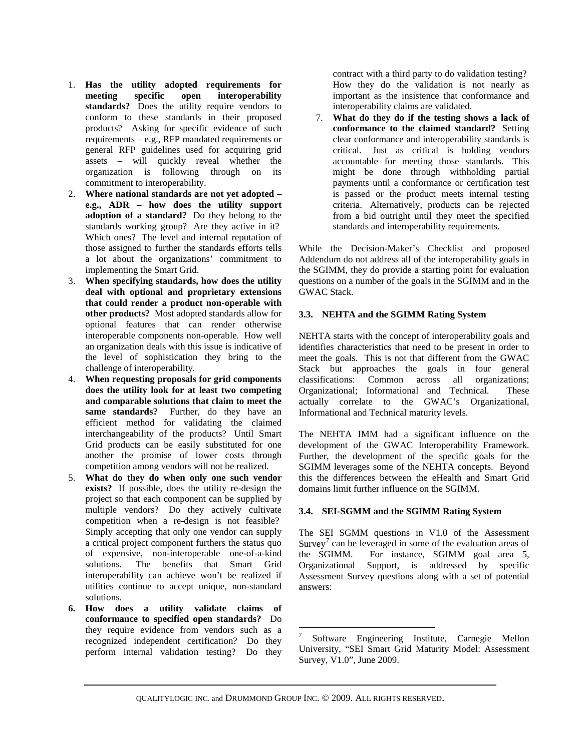- 1. **Has the utility adopted requirements for meeting specific open interoperability standards?** Does the utility require vendors to conform to these standards in their proposed products? Asking for specific evidence of such requirements – e.g., RFP mandated requirements or general RFP guidelines used for acquiring grid assets – will quickly reveal whether the organization is following through on its commitment to interoperability.
- 2. **Where national standards are not yet adopted – e.g., ADR – how does the utility support adoption of a standard?** Do they belong to the standards working group? Are they active in it? Which ones? The level and internal reputation of those assigned to further the standards efforts tells a lot about the organizations' commitment to implementing the Smart Grid.
- 3. **When specifying standards, how does the utility deal with optional and proprietary extensions that could render a product non-operable with other products?** Most adopted standards allow for optional features that can render otherwise interoperable components non-operable. How well an organization deals with this issue is indicative of the level of sophistication they bring to the challenge of interoperability.
- 4. **When requesting proposals for grid components does the utility look for at least two competing and comparable solutions that claim to meet the same standards?** Further, do they have an efficient method for validating the claimed interchangeability of the products? Until Smart Grid products can be easily substituted for one another the promise of lower costs through competition among vendors will not be realized.
- 5. **What do they do when only one such vendor exists?** If possible, does the utility re-design the project so that each component can be supplied by multiple vendors? Do they actively cultivate competition when a re-design is not feasible? Simply accepting that only one vendor can supply a critical project component furthers the status quo of expensive, non-interoperable one-of-a-kind solutions. The benefits that Smart Grid interoperability can achieve won't be realized if utilities continue to accept unique, non-standard solutions.
- <span id="page-6-0"></span>**6. How does a utility validate claims of conformance to specified open standards?** Do they require evidence from vendors such as a recognized independent certification? Do they perform internal validation testing? Do they

contract with a third party to do validation testing? How they do the validation is not nearly as important as the insistence that conformance and interoperability claims are validated.

7. **What do they do if the testing shows a lack of conformance to the claimed standard?** Setting clear conformance and interoperability standards is critical. Just as critical is holding vendors accountable for meeting those standards. This might be done through withholding partial payments until a conformance or certification test is passed or the product meets internal testing criteria. Alternatively, products can be rejected from a bid outright until they meet the specified standards and interoperability requirements.

While the Decision-Maker's Checklist and proposed Addendum do not address all of the interoperability goals in the SGIMM, they do provide a starting point for evaluation questions on a number of the goals in the SGIMM and in the GWAC Stack.

# **3.3. NEHTA and the SGIMM Rating System**

NEHTA starts with the concept of interoperability goals and identifies characteristics that need to be present in order to meet the goals. This is not that different from the GWAC Stack but approaches the goals in four general classifications: Common across all organizations; Organizational; Informational and Technical. These actually correlate to the GWAC's Organizational, Informational and Technical maturity levels.

The NEHTA IMM had a significant influence on the development of the GWAC Interoperability Framework. Further, the development of the specific goals for the SGIMM leverages some of the NEHTA concepts. Beyond this the differences between the eHealth and Smart Grid domains limit further influence on the SGIMM.

# **3.4. SEI-SGMM and the SGIMM Rating System**

The SEI SGMM questions in V1.0 of the Assessment Survey<sup>[7](#page-6-0)</sup> can be leveraged in some of the evaluation areas of the SGIMM. For instance, SGIMM goal area 5, Organizational Support, is addressed by specific Assessment Survey questions along with a set of potential answers:

 <sup>7</sup> Software Engineering Institute, Carnegie Mellon University, "SEI Smart Grid Maturity Model: Assessment Survey, V1.0", June 2009.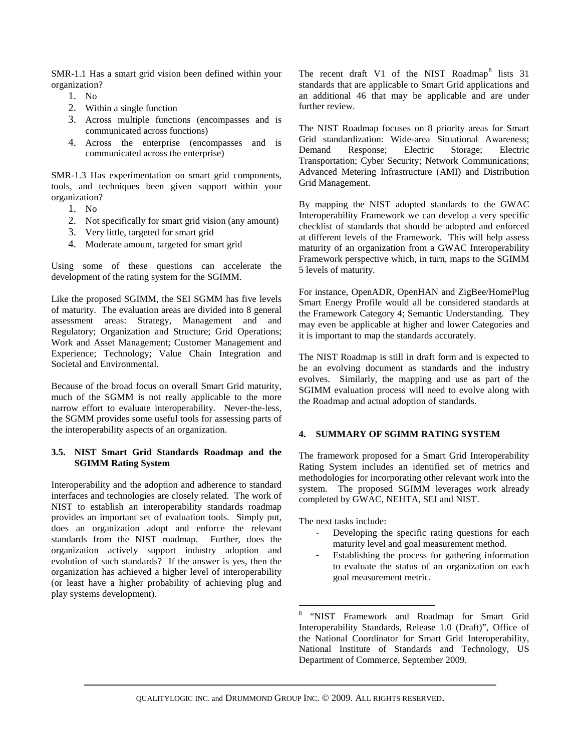SMR-1.1 Has a smart grid vision been defined within your organization?

- 1. No
- 2. Within a single function
- 3. Across multiple functions (encompasses and is communicated across functions)
- 4. Across the enterprise (encompasses and is communicated across the enterprise)

SMR-1.3 Has experimentation on smart grid components, tools, and techniques been given support within your organization?

- 1. No
- 2. Not specifically for smart grid vision (any amount)
- 3. Very little, targeted for smart grid
- 4. Moderate amount, targeted for smart grid

Using some of these questions can accelerate the development of the rating system for the SGIMM.

Like the proposed SGIMM, the SEI SGMM has five levels of maturity. The evaluation areas are divided into 8 general assessment areas: Strategy, Management and and Regulatory; Organization and Structure; Grid Operations; Work and Asset Management; Customer Management and Experience; Technology; Value Chain Integration and Societal and Environmental.

Because of the broad focus on overall Smart Grid maturity, much of the SGMM is not really applicable to the more narrow effort to evaluate interoperability. Never-the-less, the SGMM provides some useful tools for assessing parts of the interoperability aspects of an organization.

#### **3.5. NIST Smart Grid Standards Roadmap and the SGIMM Rating System**

<span id="page-7-0"></span>Interoperability and the adoption and adherence to standard interfaces and technologies are closely related. The work of NIST to establish an interoperability standards roadmap provides an important set of evaluation tools. Simply put, does an organization adopt and enforce the relevant standards from the NIST roadmap. Further, does the organization actively support industry adoption and evolution of such standards? If the answer is yes, then the organization has achieved a higher level of interoperability (or least have a higher probability of achieving plug and play systems development).

The recent draft V1 of the NIST Roadmap<sup>[8](#page-7-0)</sup> lists 31 standards that are applicable to Smart Grid applications and an additional 46 that may be applicable and are under further review.

The NIST Roadmap focuses on 8 priority areas for Smart Grid standardization: Wide-area Situational Awareness; Demand Response; Electric Storage; Electric Transportation; Cyber Security; Network Communications; Advanced Metering Infrastructure (AMI) and Distribution Grid Management.

By mapping the NIST adopted standards to the GWAC Interoperability Framework we can develop a very specific checklist of standards that should be adopted and enforced at different levels of the Framework. This will help assess maturity of an organization from a GWAC Interoperability Framework perspective which, in turn, maps to the SGIMM 5 levels of maturity.

For instance, OpenADR, OpenHAN and ZigBee/HomePlug Smart Energy Profile would all be considered standards at the Framework Category 4; Semantic Understanding. They may even be applicable at higher and lower Categories and it is important to map the standards accurately.

The NIST Roadmap is still in draft form and is expected to be an evolving document as standards and the industry evolves. Similarly, the mapping and use as part of the SGIMM evaluation process will need to evolve along with the Roadmap and actual adoption of standards.

#### **4. SUMMARY OF SGIMM RATING SYSTEM**

The framework proposed for a Smart Grid Interoperability Rating System includes an identified set of metrics and methodologies for incorporating other relevant work into the system. The proposed SGIMM leverages work already completed by GWAC, NEHTA, SEI and NIST.

The next tasks include:

- Developing the specific rating questions for each maturity level and goal measurement method.
- Establishing the process for gathering information to evaluate the status of an organization on each goal measurement metric.

 8 "NIST Framework and Roadmap for Smart Grid Interoperability Standards, Release 1.0 (Draft)", Office of the National Coordinator for Smart Grid Interoperability, National Institute of Standards and Technology, US Department of Commerce, September 2009.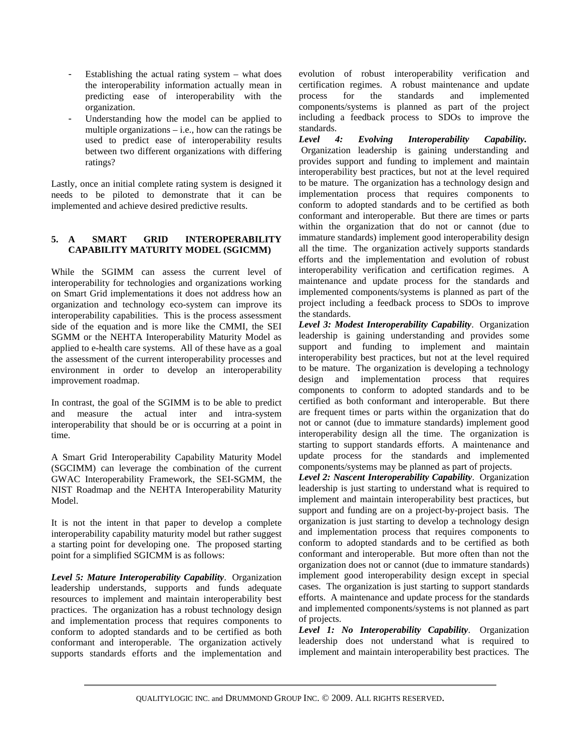- Establishing the actual rating system  $-$  what does the interoperability information actually mean in predicting ease of interoperability with the organization.
- Understanding how the model can be applied to multiple organizations  $-$  i.e., how can the ratings be used to predict ease of interoperability results between two different organizations with differing ratings?

Lastly, once an initial complete rating system is designed it needs to be piloted to demonstrate that it can be implemented and achieve desired predictive results.

# **5. A SMART GRID INTEROPERABILITY CAPABILITY MATURITY MODEL (SGICMM)**

While the SGIMM can assess the current level of interoperability for technologies and organizations working on Smart Grid implementations it does not address how an organization and technology eco-system can improve its interoperability capabilities. This is the process assessment side of the equation and is more like the CMMI, the SEI SGMM or the NEHTA Interoperability Maturity Model as applied to e-health care systems. All of these have as a goal the assessment of the current interoperability processes and environment in order to develop an interoperability improvement roadmap.

In contrast, the goal of the SGIMM is to be able to predict and measure the actual inter and intra-system interoperability that should be or is occurring at a point in time.

A Smart Grid Interoperability Capability Maturity Model (SGCIMM) can leverage the combination of the current GWAC Interoperability Framework, the SEI-SGMM, the NIST Roadmap and the NEHTA Interoperability Maturity Model.

It is not the intent in that paper to develop a complete interoperability capability maturity model but rather suggest a starting point for developing one. The proposed starting point for a simplified SGICMM is as follows:

*Level 5: Mature Interoperability Capability*. Organization leadership understands, supports and funds adequate resources to implement and maintain interoperability best practices. The organization has a robust technology design and implementation process that requires components to conform to adopted standards and to be certified as both conformant and interoperable. The organization actively supports standards efforts and the implementation and

evolution of robust interoperability verification and certification regimes. A robust maintenance and update process for the standards and implemented components/systems is planned as part of the project including a feedback process to SDOs to improve the standards.

*Level 4: Evolving Interoperability Capability.* Organization leadership is gaining understanding and provides support and funding to implement and maintain interoperability best practices, but not at the level required to be mature. The organization has a technology design and implementation process that requires components to conform to adopted standards and to be certified as both conformant and interoperable. But there are times or parts within the organization that do not or cannot (due to immature standards) implement good interoperability design all the time. The organization actively supports standards efforts and the implementation and evolution of robust interoperability verification and certification regimes. A maintenance and update process for the standards and implemented components/systems is planned as part of the project including a feedback process to SDOs to improve the standards.

*Level 3: Modest Interoperability Capability*. Organization leadership is gaining understanding and provides some support and funding to implement and maintain interoperability best practices, but not at the level required to be mature. The organization is developing a technology design and implementation process that requires components to conform to adopted standards and to be certified as both conformant and interoperable. But there are frequent times or parts within the organization that do not or cannot (due to immature standards) implement good interoperability design all the time. The organization is starting to support standards efforts. A maintenance and update process for the standards and implemented components/systems may be planned as part of projects.

*Level 2: Nascent Interoperability Capability*. Organization leadership is just starting to understand what is required to implement and maintain interoperability best practices, but support and funding are on a project-by-project basis. The organization is just starting to develop a technology design and implementation process that requires components to conform to adopted standards and to be certified as both conformant and interoperable. But more often than not the organization does not or cannot (due to immature standards) implement good interoperability design except in special cases. The organization is just starting to support standards efforts. A maintenance and update process for the standards and implemented components/systems is not planned as part of projects.

*Level 1: No Interoperability Capability*. Organization leadership does not understand what is required to implement and maintain interoperability best practices. The